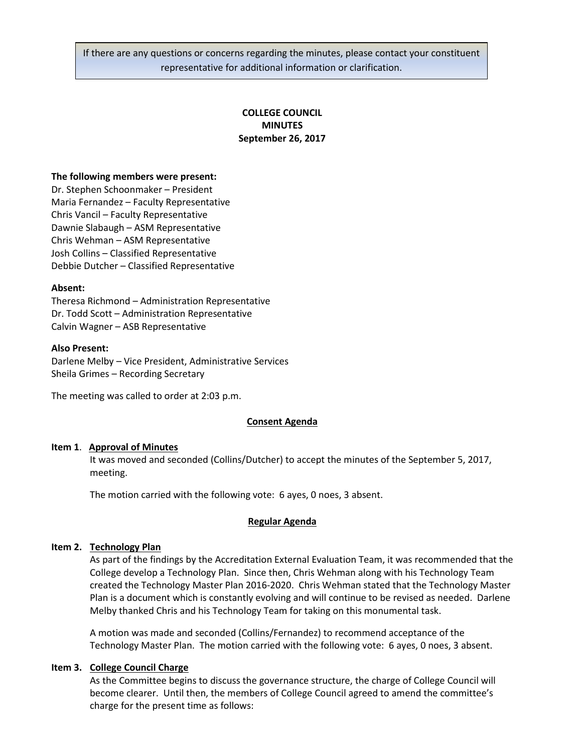If there are any questions or concerns regarding the minutes, please contact your constituent representative for additional information or clarification.

# **COLLEGE COUNCIL MINUTES September 26, 2017**

#### **The following members were present:**

Dr. Stephen Schoonmaker – President Maria Fernandez – Faculty Representative Chris Vancil – Faculty Representative Dawnie Slabaugh – ASM Representative Chris Wehman – ASM Representative Josh Collins – Classified Representative Debbie Dutcher – Classified Representative

### **Absent:**

Theresa Richmond – Administration Representative Dr. Todd Scott – Administration Representative Calvin Wagner – ASB Representative

### **Also Present:**

Darlene Melby – Vice President, Administrative Services Sheila Grimes – Recording Secretary

The meeting was called to order at 2:03 p.m.

# **Consent Agenda**

# **Item 1**. **Approval of Minutes**

It was moved and seconded (Collins/Dutcher) to accept the minutes of the September 5, 2017, meeting.

The motion carried with the following vote: 6 ayes, 0 noes, 3 absent.

#### **Regular Agenda**

# **Item 2. Technology Plan**

As part of the findings by the Accreditation External Evaluation Team, it was recommended that the College develop a Technology Plan. Since then, Chris Wehman along with his Technology Team created the Technology Master Plan 2016-2020. Chris Wehman stated that the Technology Master Plan is a document which is constantly evolving and will continue to be revised as needed. Darlene Melby thanked Chris and his Technology Team for taking on this monumental task.

A motion was made and seconded (Collins/Fernandez) to recommend acceptance of the Technology Master Plan. The motion carried with the following vote: 6 ayes, 0 noes, 3 absent.

# **Item 3. College Council Charge**

As the Committee begins to discuss the governance structure, the charge of College Council will become clearer. Until then, the members of College Council agreed to amend the committee's charge for the present time as follows: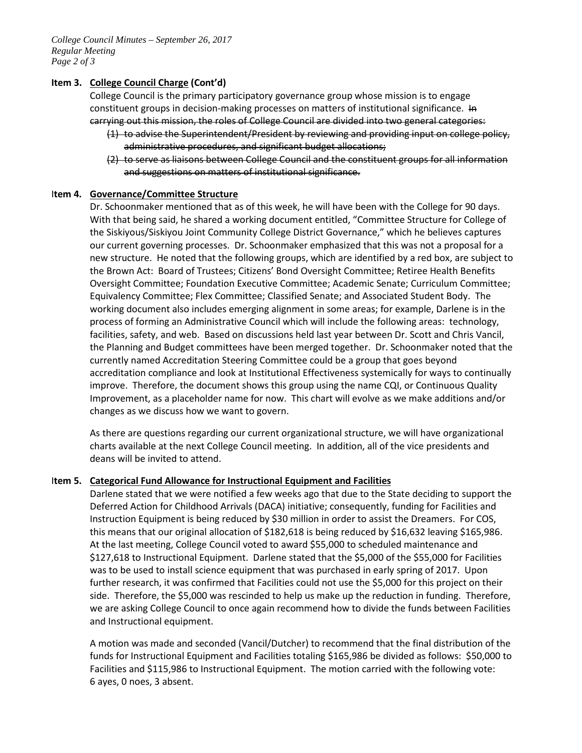*College Council Minutes – September 26, 2017 Regular Meeting Page 2 of 3*

### **Item 3. College Council Charge (Cont'd)**

College Council is the primary participatory governance group whose mission is to engage constituent groups in decision-making processes on matters of institutional significance. In carrying out this mission, the roles of College Council are divided into two general categories:

- (1) to advise the Superintendent/President by reviewing and providing input on college policy, administrative procedures, and significant budget allocations;
- (2) to serve as liaisons between College Council and the constituent groups for all information and suggestions on matters of institutional significance.

### I**tem 4. Governance/Committee Structure**

Dr. Schoonmaker mentioned that as of this week, he will have been with the College for 90 days. With that being said, he shared a working document entitled, "Committee Structure for College of the Siskiyous/Siskiyou Joint Community College District Governance," which he believes captures our current governing processes. Dr. Schoonmaker emphasized that this was not a proposal for a new structure. He noted that the following groups, which are identified by a red box, are subject to the Brown Act: Board of Trustees; Citizens' Bond Oversight Committee; Retiree Health Benefits Oversight Committee; Foundation Executive Committee; Academic Senate; Curriculum Committee; Equivalency Committee; Flex Committee; Classified Senate; and Associated Student Body. The working document also includes emerging alignment in some areas; for example, Darlene is in the process of forming an Administrative Council which will include the following areas: technology, facilities, safety, and web. Based on discussions held last year between Dr. Scott and Chris Vancil, the Planning and Budget committees have been merged together. Dr. Schoonmaker noted that the currently named Accreditation Steering Committee could be a group that goes beyond accreditation compliance and look at Institutional Effectiveness systemically for ways to continually improve. Therefore, the document shows this group using the name CQI, or Continuous Quality Improvement, as a placeholder name for now. This chart will evolve as we make additions and/or changes as we discuss how we want to govern.

As there are questions regarding our current organizational structure, we will have organizational charts available at the next College Council meeting. In addition, all of the vice presidents and deans will be invited to attend.

# I**tem 5. Categorical Fund Allowance for Instructional Equipment and Facilities**

Darlene stated that we were notified a few weeks ago that due to the State deciding to support the Deferred Action for Childhood Arrivals (DACA) initiative; consequently, funding for Facilities and Instruction Equipment is being reduced by \$30 million in order to assist the Dreamers. For COS, this means that our original allocation of \$182,618 is being reduced by \$16,632 leaving \$165,986. At the last meeting, College Council voted to award \$55,000 to scheduled maintenance and \$127,618 to Instructional Equipment. Darlene stated that the \$5,000 of the \$55,000 for Facilities was to be used to install science equipment that was purchased in early spring of 2017. Upon further research, it was confirmed that Facilities could not use the \$5,000 for this project on their side. Therefore, the \$5,000 was rescinded to help us make up the reduction in funding. Therefore, we are asking College Council to once again recommend how to divide the funds between Facilities and Instructional equipment.

A motion was made and seconded (Vancil/Dutcher) to recommend that the final distribution of the funds for Instructional Equipment and Facilities totaling \$165,986 be divided as follows: \$50,000 to Facilities and \$115,986 to Instructional Equipment. The motion carried with the following vote: 6 ayes, 0 noes, 3 absent.